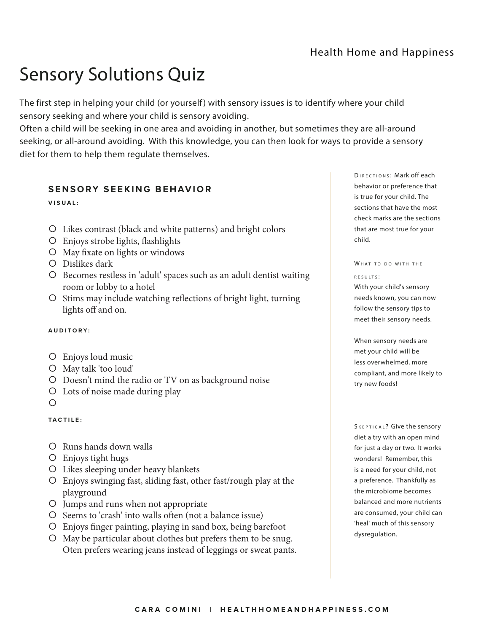## Sensory Solutions Quiz

The first step in helping your child (or yourself) with sensory issues is to identify where your child sensory seeking and where your child is sensory avoiding.

Often a child will be seeking in one area and avoiding in another, but sometimes they are all-around seeking, or all-around avoiding. With this knowledge, you can then look for ways to provide a sensory diet for them to help them regulate themselves.

## **SENSORY SEEKING BEHAVIOR**

**VISUAL:**

- { Likes contrast (black and white patterns) and bright colors
- { Enjoys strobe lights, flashlights
- { May fixate on lights or windows
- { Dislikes dark
- { Becomes restless in 'adult' spaces such as an adult dentist waiting room or lobby to a hotel
- { Stims may include watching reflections of bright light, turning lights off and on.

## **A U D I T O R Y :**

- { Enjoys loud music
- { May talk 'too loud'
- { Doesn't mind the radio or TV on as background noise
- { Lots of noise made during play
- $\bigcirc$

## **T A C T I L E :**

- { Runs hands down walls
- { Enjoys tight hugs
- { Likes sleeping under heavy blankets
- { Enjoys swinging fast, sliding fast, other fast/rough play at the playground
- { Jumps and runs when not appropriate
- { Seems to 'crash' into walls often (not a balance issue)
- { Enjoys finger painting, playing in sand box, being barefoot
- { May be particular about clothes but prefers them to be snug. Oten prefers wearing jeans instead of leggings or sweat pants.

DIRECTIONS: Mark off each behavior or preference that is true for your child. The sections that have the most check marks are the sections that are most true for your child.

## WHAT TO DO WITH THE

#### $R$  F S II I T S  $\cdot$

With your child's sensory needs known, you can now follow the sensory tips to meet their sensory needs.

When sensory needs are met your child will be less overwhelmed, more compliant, and more likely to try new foods!

SKEPTICAL? Give the sensory diet a try with an open mind for just a day or two. It works wonders! Remember, this is a need for your child, not a preference. Thankfully as the microbiome becomes balanced and more nutrients are consumed, your child can 'heal' much of this sensory dysregulation.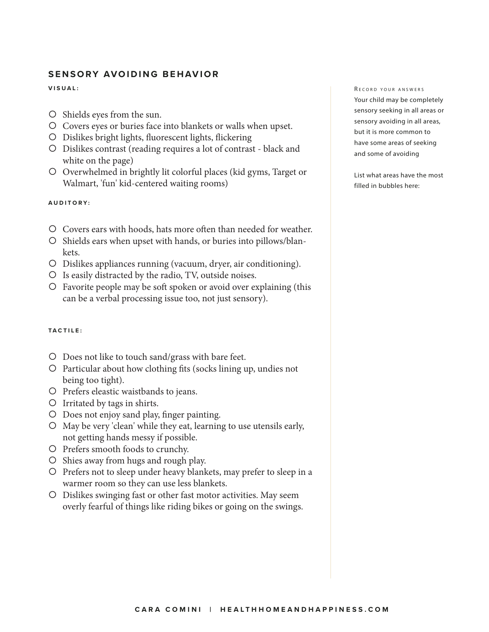## **SENSORY AVOIDING BEHAVIOR**

### **VISUAL:**

- { Shields eyes from the sun.
- { Covers eyes or buries face into blankets or walls when upset.
- { Dislikes bright lights, fluorescent lights, flickering
- { Dislikes contrast (reading requires a lot of contrast black and white on the page)
- { Overwhelmed in brightly lit colorful places (kid gyms, Target or Walmart, 'fun' kid-centered waiting rooms)

### **A U D I T O R Y :**

- { Covers ears with hoods, hats more often than needed for weather.
- { Shields ears when upset with hands, or buries into pillows/blankets.
- { Dislikes appliances running (vacuum, dryer, air conditioning).
- ${\sf O}$  Is easily distracted by the radio, TV, outside noises.
- { Favorite people may be soft spoken or avoid over explaining (this can be a verbal processing issue too, not just sensory).

## **T A C T I L E :**

- { Does not like to touch sand/grass with bare feet.
- { Particular about how clothing fits (socks lining up, undies not being too tight).
- ${O}$  Prefers eleastic waistbands to jeans.
- { Irritated by tags in shirts.
- { Does not enjoy sand play, finger painting.
- { May be very 'clean' while they eat, learning to use utensils early, not getting hands messy if possible.
- ${\sf O}$  Prefers smooth foods to crunchy.
- ${\circ}$  Shies away from hugs and rough play.
- { Prefers not to sleep under heavy blankets, may prefer to sleep in a warmer room so they can use less blankets.
- { Dislikes swinging fast or other fast motor activities. May seem overly fearful of things like riding bikes or going on the swings.

#### RECORD YOUR ANSWERS

Your child may be completely sensory seeking in all areas or sensory avoiding in all areas, but it is more common to have some areas of seeking and some of avoiding

List what areas have the most filled in bubbles here: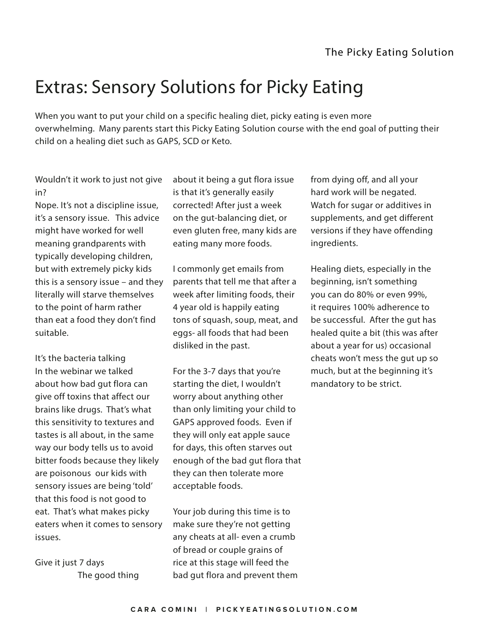# Extras: Sensory Solutions for Picky Eating

When you want to put your child on a specific healing diet, picky eating is even more overwhelming. Many parents start this Picky Eating Solution course with the end goal of putting their child on a healing diet such as GAPS, SCD or Keto.

Wouldn't it work to just not give in?

Nope. It's not a discipline issue, it's a sensory issue. This advice might have worked for well meaning grandparents with typically developing children, but with extremely picky kids this is a sensory issue – and they literally will starve themselves to the point of harm rather than eat a food they don't find suitable.

It's the bacteria talking In the webinar we talked about how bad gut flora can give off toxins that affect our brains like drugs. That's what this sensitivity to textures and tastes is all about, in the same way our body tells us to avoid bitter foods because they likely are poisonous our kids with sensory issues are being 'told' that this food is not good to eat. That's what makes picky eaters when it comes to sensory issues.

Give it just 7 days The good thing about it being a gut flora issue is that it's generally easily corrected! After just a week on the gut-balancing diet, or even gluten free, many kids are eating many more foods.

I commonly get emails from parents that tell me that after a week after limiting foods, their 4 year old is happily eating tons of squash, soup, meat, and eggs- all foods that had been disliked in the past.

For the 3-7 days that you're starting the diet, I wouldn't worry about anything other than only limiting your child to GAPS approved foods. Even if they will only eat apple sauce for days, this often starves out enough of the bad gut flora that they can then tolerate more acceptable foods.

Your job during this time is to make sure they're not getting any cheats at all- even a crumb of bread or couple grains of rice at this stage will feed the bad gut flora and prevent them from dying off, and all your hard work will be negated. Watch for sugar or additives in supplements, and get different versions if they have offending ingredients.

Healing diets, especially in the beginning, isn't something you can do 80% or even 99%, it requires 100% adherence to be successful. After the gut has healed quite a bit (this was after about a year for us) occasional cheats won't mess the gut up so much, but at the beginning it's mandatory to be strict.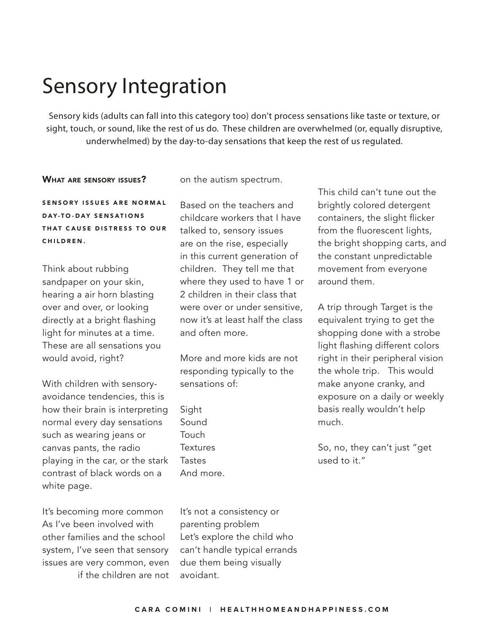# Sensory Integration

Sensory kids (adults can fall into this category too) don't process sensations like taste or texture, or sight, touch, or sound, like the rest of us do. These children are overwhelmed (or, equally disruptive, underwhelmed) by the day-to-day sensations that keep the rest of us regulated.

## WHAT ARE SENSORY ISSUES?

on the autism spectrum.

SENSORY ISSUES ARE NORMAL DAY-TO-DAY SENSATIONS THAT CAUSE DISTRESS TO OUR CHILDREN.

Think about rubbing sandpaper on your skin, hearing a air horn blasting over and over, or looking directly at a bright flashing light for minutes at a time. These are all sensations you would avoid, right?

With children with sensoryavoidance tendencies, this is how their brain is interpreting normal every day sensations such as wearing jeans or canvas pants, the radio playing in the car, or the stark contrast of black words on a white page.

It's becoming more common As I've been involved with other families and the school system, I've seen that sensory issues are very common, even if the children are not Based on the teachers and childcare workers that I have talked to, sensory issues are on the rise, especially in this current generation of children. They tell me that where they used to have 1 or 2 children in their class that were over or under sensitive, now it's at least half the class and often more.

More and more kids are not responding typically to the sensations of:

Sight Sound Touch **Textures** Tastes And more.

It's not a consistency or parenting problem Let's explore the child who can't handle typical errands due them being visually avoidant.

This child can't tune out the brightly colored detergent containers, the slight flicker from the fluorescent lights, the bright shopping carts, and the constant unpredictable movement from everyone around them.

A trip through Target is the equivalent trying to get the shopping done with a strobe light flashing different colors right in their peripheral vision the whole trip. This would make anyone cranky, and exposure on a daily or weekly basis really wouldn't help much.

So, no, they can't just "get used to it."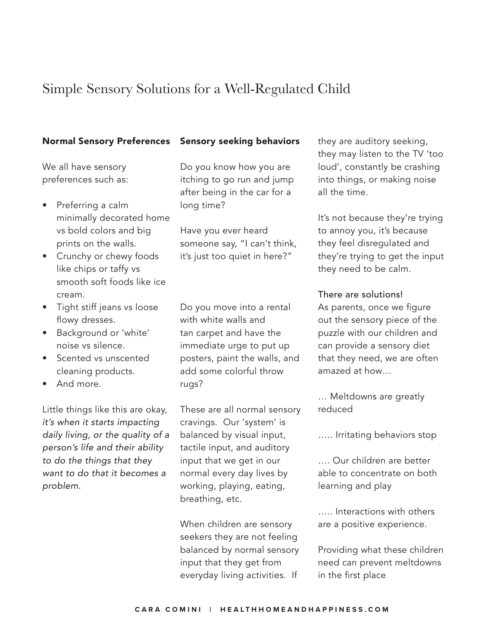## Simple Sensory Solutions for a Well-Regulated Child

## Normal Sensory Preferences

We all have sensory preferences such as:

- Preferring a calm minimally decorated home vs bold colors and big prints on the walls.
- Crunchy or chewy foods like chips or taffy vs smooth soft foods like ice cream.
- Tight stiff jeans vs loose flowy dresses.
- Background or 'white' noise vs silence.
- Scented vs unscented cleaning products.
- And more.

Little things like this are okay, *it's when it starts impacting daily living, or the quality of a person's life and their ability to do the things that they want to do that it becomes a problem.*

## Sensory seeking behaviors

Do you know how you are itching to go run and jump after being in the car for a long time?

Have you ever heard someone say, "I can't think, it's just too quiet in here?"

Do you move into a rental with white walls and tan carpet and have the immediate urge to put up posters, paint the walls, and add some colorful throw rugs?

These are all normal sensory cravings. Our 'system' is balanced by visual input, tactile input, and auditory input that we get in our normal every day lives by working, playing, eating, breathing, etc.

When children are sensory seekers they are not feeling balanced by normal sensory input that they get from everyday living activities. If

they are auditory seeking, they may listen to the TV 'too loud', constantly be crashing into things, or making noise all the time.

It's not because they're trying to annoy you, it's because they feel disregulated and they're trying to get the input they need to be calm.

## There are solutions!

As parents, once we figure out the sensory piece of the puzzle with our children and can provide a sensory diet that they need, we are often amazed at how…

… Meltdowns are greatly reduced

….. Irritating behaviors stop

…. Our children are better able to concentrate on both learning and play

….. Interactions with others are a positive experience.

Providing what these children need can prevent meltdowns in the first place